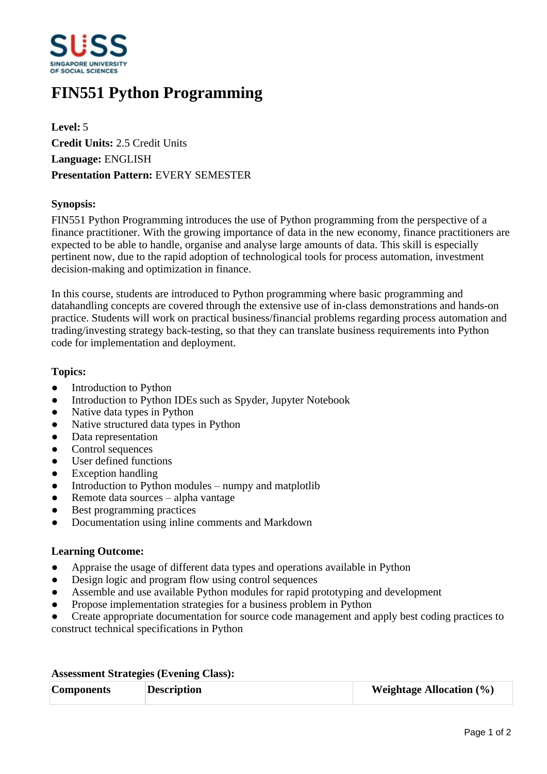

# **FIN551 Python Programming**

**Level:** 5 **Credit Units:** 2.5 Credit Units **Language:** ENGLISH **Presentation Pattern:** EVERY SEMESTER

## **Synopsis:**

FIN551 Python Programming introduces the use of Python programming from the perspective of a finance practitioner. With the growing importance of data in the new economy, finance practitioners are expected to be able to handle, organise and analyse large amounts of data. This skill is especially pertinent now, due to the rapid adoption of technological tools for process automation, investment decision-making and optimization in finance.

In this course, students are introduced to Python programming where basic programming and datahandling concepts are covered through the extensive use of in-class demonstrations and hands-on practice. Students will work on practical business/financial problems regarding process automation and trading/investing strategy back-testing, so that they can translate business requirements into Python code for implementation and deployment.

### **Topics:**

- Introduction to Python
- Introduction to Python IDEs such as Spyder, Jupyter Notebook
- Native data types in Python
- Native structured data types in Python
- ƔData representation
- Control sequences
- User defined functions
- Exception handling
- Introduction to Python modules  $-\frac{1}{2}$  numpy and matplotlib
- $\bullet$  Remote data sources  $-\text{alpha}$  vantage
- Best programming practices
- ƔDocumentation using inline comments and Markdown

### **Learning Outcome:**

- Appraise the usage of different data types and operations available in Python
- Design logic and program flow using control sequences
- Assemble and use available Python modules for rapid prototyping and development
- Propose implementation strategies for a business problem in Python
- Create appropriate documentation for source code management and apply best coding practices to construct technical specifications in Python

| <b>Components</b> | <b>Description</b> | <b>Weightage Allocation (%)</b> |  |
|-------------------|--------------------|---------------------------------|--|

### **Assessment Strategies (Evening Class):**